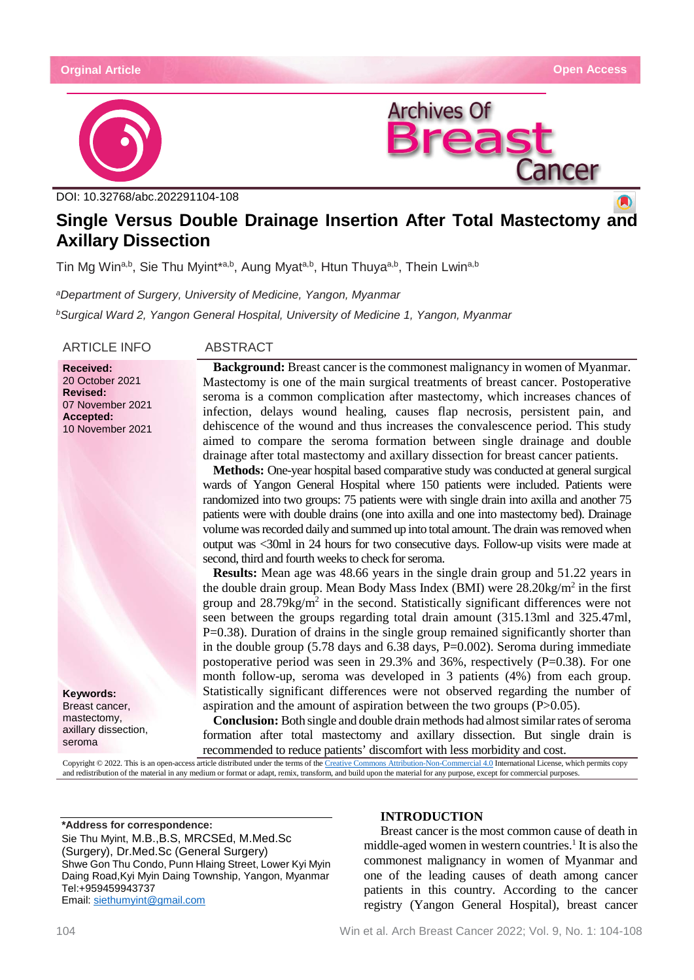

DOI: 10.32768/abc.202291104-108



# **Single Versus Double Drainage Insertion After Total Mastectomy and Axillary Dissection**

Tin Mg Win<sup>a,b</sup>, Sie Thu Myint<sup>\*a,b</sup>, Aung Myat<sup>a,b</sup>, Htun Thuya<sup>a,b</sup>, Thein Lwin<sup>a,b</sup>

*aDepartment of Surgery, University of Medicine, Yangon, Myanmar bSurgical Ward 2, Yangon General Hospital, University of Medicine 1, Yangon, Myanmar*

ARTICLE INFO ABSTRACT

**Received:** 20 October 2021 **Revised:** 07 November 2021 **Accepted:** 10 November 2021

**Keywords:** Breast cancer, mastectomy, axillary dissection, seroma

**Background:** Breast cancer is the commonest malignancy in women of Myanmar. Mastectomy is one of the main surgical treatments of breast cancer. Postoperative seroma is a common complication after mastectomy, which increases chances of infection, delays wound healing, causes flap necrosis, persistent pain, and dehiscence of the wound and thus increases the convalescence period. This study aimed to compare the seroma formation between single drainage and double drainage after total mastectomy and axillary dissection for breast cancer patients.

**Methods:** One-year hospital based comparative study was conducted at general surgical wards of Yangon General Hospital where 150 patients were included. Patients were randomized into two groups: 75 patients were with single drain into axilla and another 75 patients were with double drains (one into axilla and one into mastectomy bed). Drainage volume was recorded daily and summed up into total amount. The drain was removed when output was <30ml in 24 hours for two consecutive days. Follow-up visits were made at second, third and fourth weeks to check for seroma.

**Results:** Mean age was 48.66 years in the single drain group and 51.22 years in the double drain group. Mean Body Mass Index (BMI) were  $28.20 \text{kg/m}^2$  in the first group and  $28.79 \text{kg/m}^2$  in the second. Statistically significant differences were not seen between the groups regarding total drain amount (315.13ml and 325.47ml, P=0.38). Duration of drains in the single group remained significantly shorter than in the double group (5.78 days and 6.38 days, P=0.002). Seroma during immediate postoperative period was seen in 29.3% and 36%, respectively  $(P=0.38)$ . For one month follow-up, seroma was developed in 3 patients (4%) from each group. Statistically significant differences were not observed regarding the number of aspiration and the amount of aspiration between the two groups (P>0.05).

**Conclusion:** Both single and double drain methods had almost similar rates of seroma formation after total mastectomy and axillary dissection. But single drain is recommended to reduce patients' discomfort with less morbidity and cost.

Copyright © 2022. This is an open-access article distributed under the terms of th[e Creative Commons Attribution-Non-Commercial 4.0](https://creativecommons.org/licenses/by-nc/4.0/) International License, which permits copy and redistribution of the material in any medium or format or adapt, remix, transform, and build upon the material for any purpose, except for commercial purposes.

**\*Address for correspondence:** Sie Thu Myint, M.B.,B.S, MRCSEd, M.Med.Sc (Surgery), Dr.Med.Sc (General Surgery) Shwe Gon Thu Condo, Punn Hlaing Street, Lower Kyi Myin Daing Road,Kyi Myin Daing Township, Yangon, Myanmar Tel:+959459943737 Email: [siethumyint@gmail.com](mailto:siethumyint@gmail.com)

# **INTRODUCTION**

Breast cancer is the most common cause of death in middle-aged women in western countries.<sup>1</sup> It is also the commonest malignancy in women of Myanmar and one of the leading causes of death among cancer patients in this country. According to the cancer registry (Yangon General Hospital), breast cancer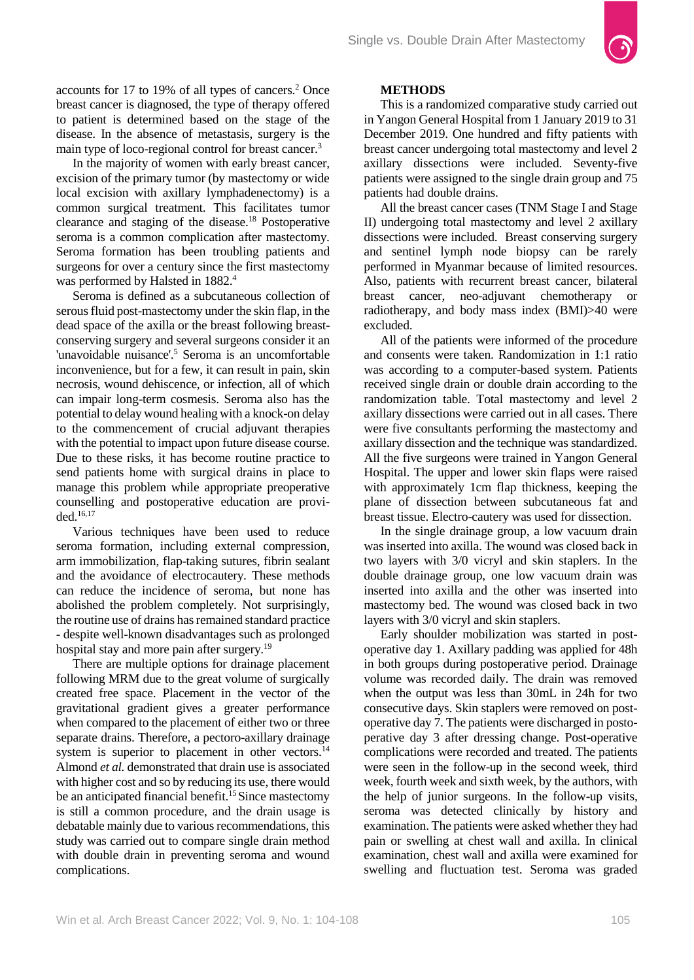accounts for 17 to 19% of all types of cancers.<sup>2</sup> Once breast cancer is diagnosed, the type of therapy offered to patient is determined based on the stage of the disease. In the absence of metastasis, surgery is the main type of loco-regional control for breast cancer.3

In the majority of women with early breast cancer, excision of the primary tumor (by mastectomy or wide local excision with axillary lymphadenectomy) is a common surgical treatment. This facilitates tumor clearance and staging of the disease.18 Postoperative seroma is a common complication after mastectomy. Seroma formation has been troubling patients and surgeons for over a century since the first mastectomy was performed by Halsted in 1882.<sup>4</sup>

Seroma is defined as a subcutaneous collection of serous fluid post-mastectomy under the skin flap, in the dead space of the axilla or the breast following breastconserving surgery and several surgeons consider it an 'unavoidable nuisance'.<sup>5</sup> Seroma is an uncomfortable inconvenience, but for a few, it can result in pain, skin necrosis, wound dehiscence, or infection, all of which can impair long-term cosmesis. Seroma also has the potential to delay wound healing with a knock-on delay to the commencement of crucial adjuvant therapies with the potential to impact upon future disease course. Due to these risks, it has become routine practice to send patients home with surgical drains in place to manage this problem while appropriate preoperative counselling and postoperative education are provided.16,17

Various techniques have been used to reduce seroma formation, including external compression, arm immobilization, flap-taking sutures, fibrin sealant and the avoidance of electrocautery. These methods can reduce the incidence of seroma, but none has abolished the problem completely. Not surprisingly, the routine use of drains has remained standard practice - despite well-known disadvantages such as prolonged hospital stay and more pain after surgery.<sup>19</sup>

There are multiple options for drainage placement following MRM due to the great volume of surgically created free space. Placement in the vector of the gravitational gradient gives a greater performance when compared to the placement of either two or three separate drains. Therefore, a pectoro-axillary drainage system is superior to placement in other vectors.<sup>14</sup> Almond *et al.* demonstrated that drain use is associated with higher cost and so by reducing its use, there would be an anticipated financial benefit.<sup>15</sup> Since mastectomy is still a common procedure, and the drain usage is debatable mainly due to various recommendations, this study was carried out to compare single drain method with double drain in preventing seroma and wound complications.

# **METHODS**

This is a randomized comparative study carried out in Yangon General Hospital from 1 January 2019 to 31 December 2019. One hundred and fifty patients with breast cancer undergoing total mastectomy and level 2 axillary dissections were included. Seventy-five patients were assigned to the single drain group and 75 patients had double drains.

All the breast cancer cases (TNM Stage I and Stage II) undergoing total mastectomy and level 2 axillary dissections were included. Breast conserving surgery and sentinel lymph node biopsy can be rarely performed in Myanmar because of limited resources. Also, patients with recurrent breast cancer, bilateral breast cancer, neo-adjuvant chemotherapy or radiotherapy, and body mass index (BMI)>40 were excluded.

All of the patients were informed of the procedure and consents were taken. Randomization in 1:1 ratio was according to a computer-based system. Patients received single drain or double drain according to the randomization table. Total mastectomy and level 2 axillary dissections were carried out in all cases. There were five consultants performing the mastectomy and axillary dissection and the technique was standardized. All the five surgeons were trained in Yangon General Hospital. The upper and lower skin flaps were raised with approximately 1cm flap thickness, keeping the plane of dissection between subcutaneous fat and breast tissue. Electro-cautery was used for dissection.

In the single drainage group, a low vacuum drain was inserted into axilla. The wound was closed back in two layers with 3/0 vicryl and skin staplers. In the double drainage group, one low vacuum drain was inserted into axilla and the other was inserted into mastectomy bed. The wound was closed back in two layers with 3/0 vicryl and skin staplers.

Early shoulder mobilization was started in postoperative day 1. Axillary padding was applied for 48h in both groups during postoperative period. Drainage volume was recorded daily. The drain was removed when the output was less than 30mL in 24h for two consecutive days. Skin staplers were removed on postoperative day 7. The patients were discharged in postoperative day 3 after dressing change. Post-operative complications were recorded and treated. The patients were seen in the follow-up in the second week, third week, fourth week and sixth week, by the authors, with the help of junior surgeons. In the follow-up visits, seroma was detected clinically by history and examination. The patients were asked whether they had pain or swelling at chest wall and axilla. In clinical examination, chest wall and axilla were examined for swelling and fluctuation test. Seroma was graded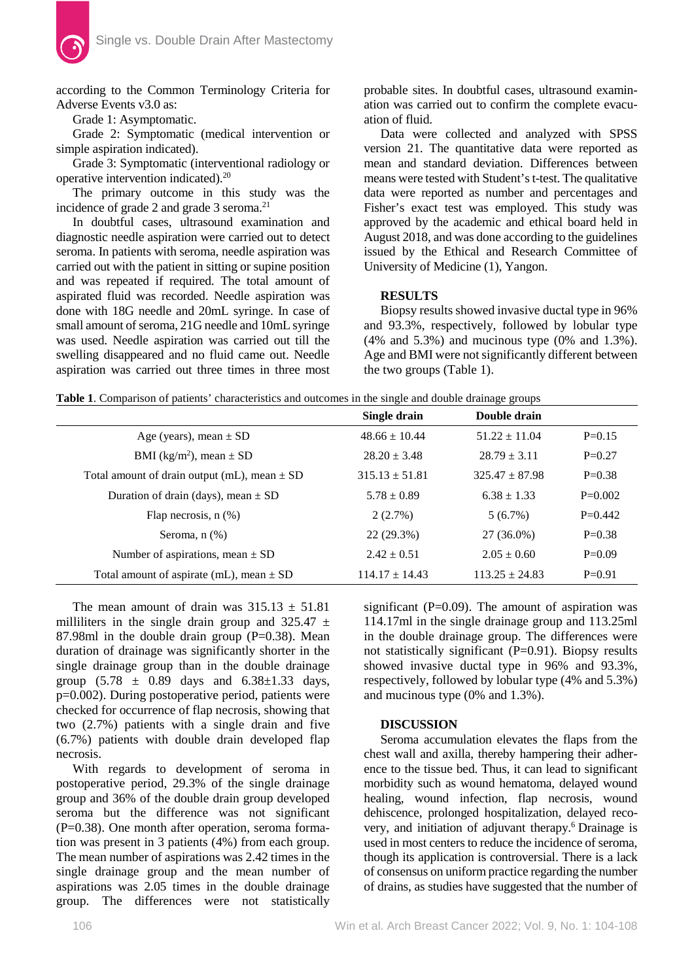according to the Common Terminology Criteria for Adverse Events v3.0 as:

Grade 1: Asymptomatic.

Grade 2: Symptomatic (medical intervention or simple aspiration indicated).

Grade 3: Symptomatic (interventional radiology or operative intervention indicated).20

The primary outcome in this study was the incidence of grade 2 and grade 3 seroma.<sup>21</sup>

In doubtful cases, ultrasound examination and diagnostic needle aspiration were carried out to detect seroma. In patients with seroma, needle aspiration was carried out with the patient in sitting or supine position and was repeated if required. The total amount of aspirated fluid was recorded. Needle aspiration was done with 18G needle and 20mL syringe. In case of small amount of seroma, 21G needle and 10mL syringe was used. Needle aspiration was carried out till the swelling disappeared and no fluid came out. Needle aspiration was carried out three times in three most probable sites. In doubtful cases, ultrasound examination was carried out to confirm the complete evacuation of fluid.

Data were collected and analyzed with SPSS version 21. The quantitative data were reported as mean and standard deviation. Differences between means were tested with Student's t-test. The qualitative data were reported as number and percentages and Fisher's exact test was employed. This study was approved by the academic and ethical board held in August 2018, and was done according to the guidelines issued by the Ethical and Research Committee of University of Medicine (1), Yangon.

# **RESULTS**

Biopsy results showed invasive ductal type in 96% and 93.3%, respectively, followed by lobular type (4% and 5.3%) and mucinous type (0% and 1.3%). Age and BMI were not significantly different between the two groups (Table 1).

**Table 1**. Comparison of patients' characteristics and outcomes in the single and double drainage groups

|                                                  | Single drain       | Double drain     |           |
|--------------------------------------------------|--------------------|------------------|-----------|
| Age (years), mean $\pm$ SD                       | $48.66 \pm 10.44$  | $51.22 + 11.04$  | $P=0.15$  |
| BMI (kg/m <sup>2</sup> ), mean $\pm$ SD          | $28.20 \pm 3.48$   | $28.79 \pm 3.11$ | $P=0.27$  |
| Total amount of drain output (mL), mean $\pm$ SD | $315.13 \pm 51.81$ | $325.47 + 87.98$ | $P=0.38$  |
| Duration of drain (days), mean $\pm$ SD          | $5.78 \pm 0.89$    | $6.38 \pm 1.33$  | $P=0.002$ |
| Flap necrosis, $n$ $(\%)$                        | 2(2.7%)            | 5(6.7%)          | $P=0.442$ |
| Seroma, $n$ $(\%)$                               | $22(29.3\%)$       | 27 (36.0%)       | $P=0.38$  |
| Number of aspirations, mean $\pm$ SD             | $2.42 \pm 0.51$    | $2.05 \pm 0.60$  | $P=0.09$  |
| Total amount of aspirate (mL), mean $\pm$ SD     | $114.17 \pm 14.43$ | $113.25 + 24.83$ | $P=0.91$  |

The mean amount of drain was  $315.13 \pm 51.81$ milliliters in the single drain group and  $325.47 \pm$ 87.98ml in the double drain group  $(P=0.38)$ . Mean duration of drainage was significantly shorter in the single drainage group than in the double drainage group  $(5.78 \pm 0.89)$  days and  $6.38 \pm 1.33$  days, p=0.002). During postoperative period, patients were checked for occurrence of flap necrosis, showing that two (2.7%) patients with a single drain and five (6.7%) patients with double drain developed flap necrosis.

With regards to development of seroma in postoperative period, 29.3% of the single drainage group and 36% of the double drain group developed seroma but the difference was not significant (P=0.38). One month after operation, seroma formation was present in 3 patients (4%) from each group. The mean number of aspirations was 2.42 times in the single drainage group and the mean number of aspirations was 2.05 times in the double drainage group. The differences were not statistically

significant ( $P=0.09$ ). The amount of aspiration was 114.17ml in the single drainage group and 113.25ml in the double drainage group. The differences were not statistically significant (P=0.91). Biopsy results showed invasive ductal type in 96% and 93.3%, respectively, followed by lobular type (4% and 5.3%) and mucinous type (0% and 1.3%).

# **DISCUSSION**

Seroma accumulation elevates the flaps from the chest wall and axilla, thereby hampering their adherence to the tissue bed. Thus, it can lead to significant morbidity such as wound hematoma, delayed wound healing, wound infection, flap necrosis, wound dehiscence, prolonged hospitalization, delayed recovery, and initiation of adjuvant therapy.6 Drainage is used in most centers to reduce the incidence of seroma, though its application is controversial. There is a lack of consensus on uniform practice regarding the number of drains, as studies have suggested that the number of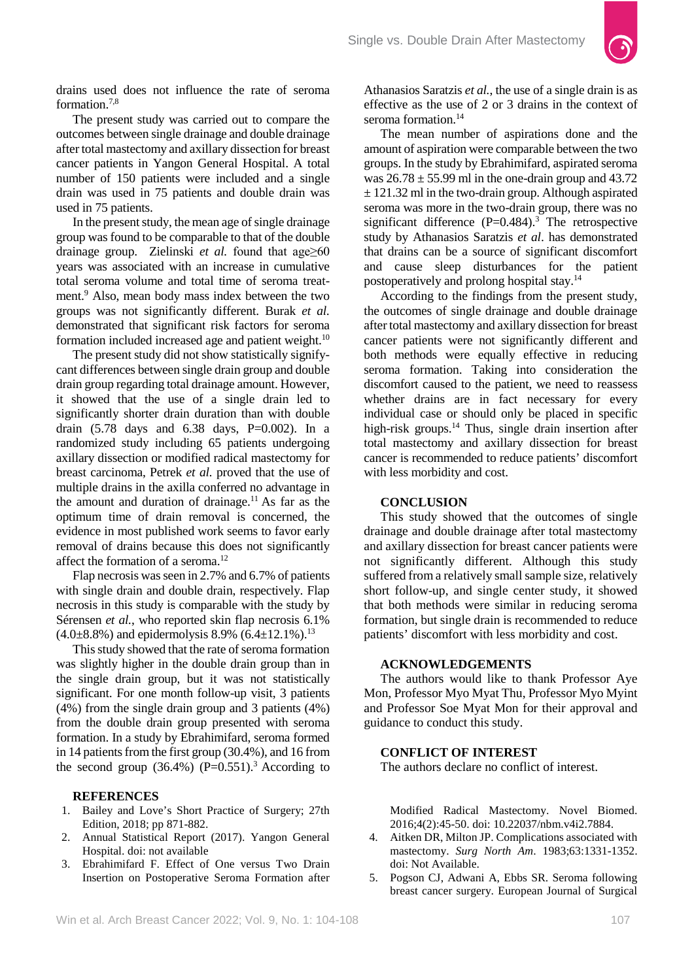

drains used does not influence the rate of seroma formation.7,8

The present study was carried out to compare the outcomes between single drainage and double drainage after total mastectomy and axillary dissection for breast cancer patients in Yangon General Hospital. A total number of 150 patients were included and a single drain was used in 75 patients and double drain was used in 75 patients.

In the present study, the mean age of single drainage group was found to be comparable to that of the double drainage group. Zielinski *et al.* found that age≥60 years was associated with an increase in cumulative total seroma volume and total time of seroma treatment.9 Also, mean body mass index between the two groups was not significantly different. Burak *et al.* demonstrated that significant risk factors for seroma formation included increased age and patient weight.<sup>10</sup>

The present study did not show statistically signifycant differences between single drain group and double drain group regarding total drainage amount. However, it showed that the use of a single drain led to significantly shorter drain duration than with double drain  $(5.78$  days and  $6.38$  days, P=0.002). In a randomized study including 65 patients undergoing axillary dissection or modified radical mastectomy for breast carcinoma, Petrek *et al.* proved that the use of multiple drains in the axilla conferred no advantage in the amount and duration of drainage.<sup>11</sup> As far as the optimum time of drain removal is concerned, the evidence in most published work seems to favor early removal of drains because this does not significantly affect the formation of a seroma.12

Flap necrosis was seen in 2.7% and 6.7% of patients with single drain and double drain, respectively. Flap necrosis in this study is comparable with the study by Sérensen *et al.*, who reported skin flap necrosis 6.1%  $(4.0\pm8.8\%)$  and epidermolysis 8.9%  $(6.4\pm12.1\%)$ <sup>13</sup>

This study showed that the rate of seroma formation was slightly higher in the double drain group than in the single drain group, but it was not statistically significant. For one month follow-up visit, 3 patients (4%) from the single drain group and 3 patients (4%) from the double drain group presented with seroma formation. In a study by Ebrahimifard, seroma formed in 14 patients from the first group (30.4%), and 16 from the second group  $(36.4\%)$  (P=0.551).<sup>3</sup> According to

#### **REFERENCES**

- 1. Bailey and Love's Short Practice of Surgery; 27th Edition, 2018; pp 871-882.
- 2. Annual Statistical Report (2017). Yangon General Hospital. doi: not available
- 3. Ebrahimifard F. Effect of One versus Two Drain Insertion on Postoperative Seroma Formation after

Athanasios Saratzis *et al.*, the use of a single drain is as effective as the use of 2 or 3 drains in the context of seroma formation.<sup>14</sup>

The mean number of aspirations done and the amount of aspiration were comparable between the two groups. In the study by Ebrahimifard, aspirated seroma was  $26.78 \pm 55.99$  ml in the one-drain group and 43.72  $\pm$  121.32 ml in the two-drain group. Although aspirated seroma was more in the two-drain group, there was no significant difference  $(P=0.484)$ .<sup>3</sup> The retrospective study by Athanasios Saratzis *et al*. has demonstrated that drains can be a source of significant discomfort and cause sleep disturbances for the patient postoperatively and prolong hospital stay.14

According to the findings from the present study, the outcomes of single drainage and double drainage after total mastectomy and axillary dissection for breast cancer patients were not significantly different and both methods were equally effective in reducing seroma formation. Taking into consideration the discomfort caused to the patient, we need to reassess whether drains are in fact necessary for every individual case or should only be placed in specific high-risk groups. $^{14}$  Thus, single drain insertion after total mastectomy and axillary dissection for breast cancer is recommended to reduce patients' discomfort with less morbidity and cost.

# **CONCLUSION**

This study showed that the outcomes of single drainage and double drainage after total mastectomy and axillary dissection for breast cancer patients were not significantly different. Although this study suffered from a relatively small sample size, relatively short follow-up, and single center study, it showed that both methods were similar in reducing seroma formation, but single drain is recommended to reduce patients' discomfort with less morbidity and cost.

# **ACKNOWLEDGEMENTS**

The authors would like to thank Professor Aye Mon, Professor Myo Myat Thu, Professor Myo Myint and Professor Soe Myat Mon for their approval and guidance to conduct this study.

# **CONFLICT OF INTEREST**

The authors declare no conflict of interest.

Modified Radical Mastectomy. Novel Biomed. 2016;4(2):45-50. doi: [10.22037/nbm.v4i2.7884.](https://doi.org/10.22037/nbm.v4i2.7884)

- 4. Aitken DR, Milton JP. Complications associated with mastectomy. *Surg North Am*. 1983;63:1331-1352. doi: Not Available.
- 5. Pogson CJ, Adwani A, Ebbs SR. Seroma following breast cancer surgery. European Journal of Surgical